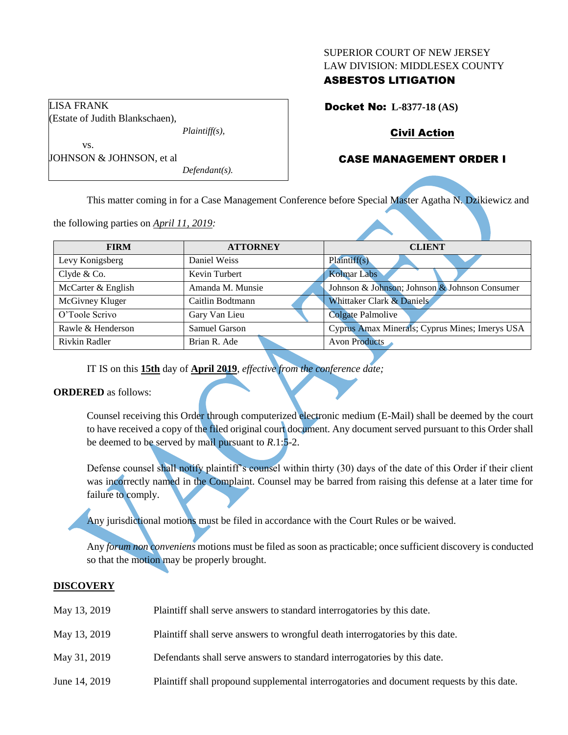#### SUPERIOR COURT OF NEW JERSEY LAW DIVISION: MIDDLESEX COUNTY

## ASBESTOS LITIGATION

Docket No: **L-8377-18 (AS)**

# Civil Action

# CASE MANAGEMENT ORDER I

vs. JOHNSON & JOHNSON, et al *Defendant(s).*

*Plaintiff(s),*

LISA FRANK

(Estate of Judith Blankschaen),

This matter coming in for a Case Management Conference before Special Master Agatha N. Dzikiewicz and

the following parties on *April 11, 2019:*

| <b>FIRM</b>        | <b>ATTORNEY</b>  | <b>CLIENT</b>                                  |  |  |
|--------------------|------------------|------------------------------------------------|--|--|
| Levy Konigsberg    | Daniel Weiss     | Plaintiff(s)                                   |  |  |
| Clyde & Co.        | Kevin Turbert    | <b>Kolmar Labs</b>                             |  |  |
| McCarter & English | Amanda M. Munsie | Johnson & Johnson; Johnson & Johnson Consumer  |  |  |
| McGivney Kluger    | Caitlin Bodtmann | Whittaker Clark & Daniels                      |  |  |
| O'Toole Scrivo     | Gary Van Lieu    | Colgate Palmolive                              |  |  |
| Rawle & Henderson  | Samuel Garson    | Cyprus Amax Minerals; Cyprus Mines; Imerys USA |  |  |
| Rivkin Radler      | Brian R. Ade     | Avon Products                                  |  |  |

IT IS on this **15th** day of **April 2019**, *effective from the conference date;*

## **ORDERED** as follows:

Counsel receiving this Order through computerized electronic medium (E-Mail) shall be deemed by the court to have received a copy of the filed original court document. Any document served pursuant to this Order shall be deemed to be served by mail pursuant to *R*.1:5-2.

Defense counsel shall notify plaintiff's counsel within thirty (30) days of the date of this Order if their client was incorrectly named in the Complaint. Counsel may be barred from raising this defense at a later time for failure to comply.

Any jurisdictional motions must be filed in accordance with the Court Rules or be waived.

Any *forum non conveniens* motions must be filed as soon as practicable; once sufficient discovery is conducted so that the motion may be properly brought.

## **DISCOVERY**

| May 13, 2019  | Plaintiff shall serve answers to standard interrogatories by this date.                   |
|---------------|-------------------------------------------------------------------------------------------|
| May 13, 2019  | Plaintiff shall serve answers to wrongful death interrogatories by this date.             |
| May 31, 2019  | Defendants shall serve answers to standard interrogatories by this date.                  |
| June 14, 2019 | Plaintiff shall propound supplemental interrogatories and document requests by this date. |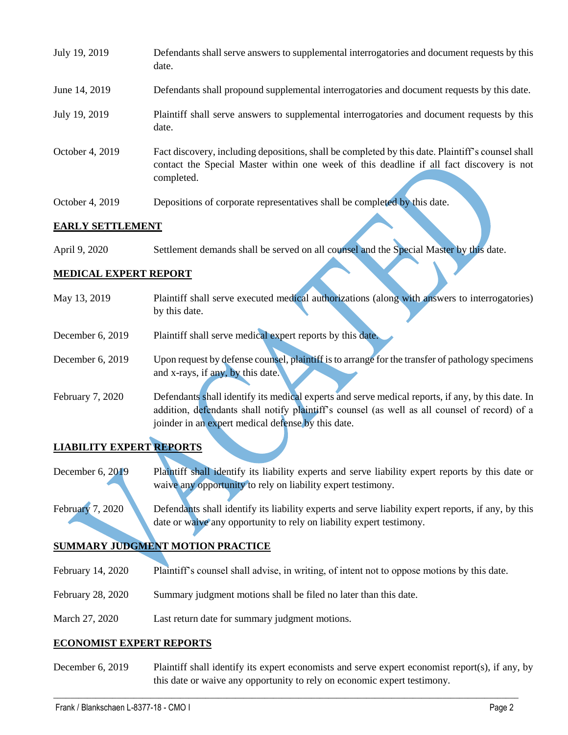| July 19, 2019   | Defendants shall serve answers to supplemental interrogatories and document requests by this<br>date.                                                                                                       |
|-----------------|-------------------------------------------------------------------------------------------------------------------------------------------------------------------------------------------------------------|
| June 14, 2019   | Defendants shall propound supplemental interrogatories and document requests by this date.                                                                                                                  |
| July 19, 2019   | Plaintiff shall serve answers to supplemental interrogatories and document requests by this<br>date.                                                                                                        |
| October 4, 2019 | Fact discovery, including depositions, shall be completed by this date. Plaintiff's counsel shall<br>contact the Special Master within one week of this deadline if all fact discovery is not<br>completed. |
| October 4, 2019 | Depositions of corporate representatives shall be completed by this date.                                                                                                                                   |

#### **EARLY SETTLEMENT**

April 9, 2020 Settlement demands shall be served on all counsel and the Special Master by this date.

## **MEDICAL EXPERT REPORT**

| May 13, 2019     | Plaintiff shall serve executed medical authorizations (along with answers to interrogatories)     |  |  |  |  |
|------------------|---------------------------------------------------------------------------------------------------|--|--|--|--|
|                  | by this date.                                                                                     |  |  |  |  |
| December 6, 2019 | Plaintiff shall serve medical expert reports by this date.                                        |  |  |  |  |
|                  |                                                                                                   |  |  |  |  |
| December 6, 2019 | Upon request by defense counsel, plaintiff is to arrange for the transfer of pathology specimens  |  |  |  |  |
|                  | and x-rays, if any, by this date.                                                                 |  |  |  |  |
| February 7, 2020 | Defendants shall identify its medical experts and serve medical reports, if any, by this date. In |  |  |  |  |
|                  | addition, defendants shall notify plaintiff's counsel (as well as all counsel of record) of a     |  |  |  |  |
|                  | joinder in an expert medical defense by this date.                                                |  |  |  |  |
|                  |                                                                                                   |  |  |  |  |

# **LIABILITY EXPERT REPORTS**

December 6, 2019 Plaintiff shall identify its liability experts and serve liability expert reports by this date or waive any opportunity to rely on liability expert testimony.

February 7, 2020 Defendants shall identify its liability experts and serve liability expert reports, if any, by this date or waive any opportunity to rely on liability expert testimony.

# **SUMMARY JUDGMENT MOTION PRACTICE**

- February 14, 2020 Plaintiff's counsel shall advise, in writing, of intent not to oppose motions by this date.
- February 28, 2020 Summary judgment motions shall be filed no later than this date.
- March 27, 2020 Last return date for summary judgment motions.

## **ECONOMIST EXPERT REPORTS**

December 6, 2019 Plaintiff shall identify its expert economists and serve expert economist report(s), if any, by this date or waive any opportunity to rely on economic expert testimony.

 $\_$  , and the set of the set of the set of the set of the set of the set of the set of the set of the set of the set of the set of the set of the set of the set of the set of the set of the set of the set of the set of th